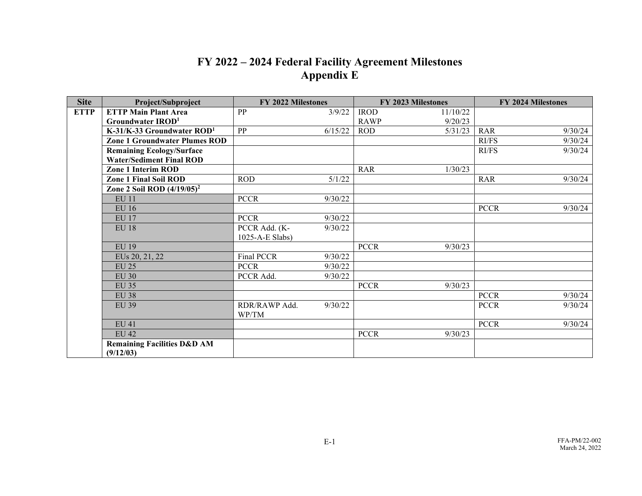## **FY 2022 – 2024 Federal Facility Agreement Milestones Appendix E**

| <b>Site</b> | Project/Subproject                     | <b>FY 2022 Milestones</b> |         | <b>FY 2023 Milestones</b> |          | <b>FY 2024 Milestones</b> |         |
|-------------|----------------------------------------|---------------------------|---------|---------------------------|----------|---------------------------|---------|
| <b>ETTP</b> | <b>ETTP Main Plant Area</b>            | PP                        | 3/9/22  | <b>IROD</b>               | 11/10/22 |                           |         |
|             | Groundwater IROD <sup>1</sup>          |                           |         | <b>RAWP</b>               | 9/20/23  |                           |         |
|             | K-31/K-33 Groundwater $ROD1$           | PP                        | 6/15/22 | <b>ROD</b>                | 5/31/23  | RAR                       | 9/30/24 |
|             | <b>Zone 1 Groundwater Plumes ROD</b>   |                           |         |                           |          | RI/FS                     | 9/30/24 |
|             | <b>Remaining Ecology/Surface</b>       |                           |         |                           |          | RI/FS                     | 9/30/24 |
|             | <b>Water/Sediment Final ROD</b>        |                           |         |                           |          |                           |         |
|             | <b>Zone 1 Interim ROD</b>              |                           |         | <b>RAR</b>                | 1/30/23  |                           |         |
|             | <b>Zone 1 Final Soil ROD</b>           | <b>ROD</b>                | 5/1/22  |                           |          | <b>RAR</b>                | 9/30/24 |
|             | Zone 2 Soil ROD $(4/19/05)^2$          |                           |         |                           |          |                           |         |
|             | <b>EU 11</b>                           | <b>PCCR</b>               | 9/30/22 |                           |          |                           |         |
|             | <b>EU 16</b>                           |                           |         |                           |          | <b>PCCR</b>               | 9/30/24 |
|             | <b>EU 17</b>                           | <b>PCCR</b>               | 9/30/22 |                           |          |                           |         |
|             | <b>EU 18</b>                           | PCCR Add. (K-             | 9/30/22 |                           |          |                           |         |
|             |                                        | 1025-A-E Slabs)           |         |                           |          |                           |         |
|             | <b>EU 19</b>                           |                           |         | <b>PCCR</b>               | 9/30/23  |                           |         |
|             | EUs 20, 21, 22                         | <b>Final PCCR</b>         | 9/30/22 |                           |          |                           |         |
|             | <b>EU 25</b>                           | <b>PCCR</b>               | 9/30/22 |                           |          |                           |         |
|             | <b>EU 30</b>                           | PCCR Add.                 | 9/30/22 |                           |          |                           |         |
|             | <b>EU 35</b>                           |                           |         | <b>PCCR</b>               | 9/30/23  |                           |         |
|             | <b>EU 38</b>                           |                           |         |                           |          | <b>PCCR</b>               | 9/30/24 |
|             | <b>EU 39</b>                           | RDR/RAWP Add.             | 9/30/22 |                           |          | <b>PCCR</b>               | 9/30/24 |
|             |                                        | WP/TM                     |         |                           |          |                           |         |
|             | <b>EU 41</b>                           |                           |         |                           |          | <b>PCCR</b>               | 9/30/24 |
|             | <b>EU 42</b>                           |                           |         | <b>PCCR</b>               | 9/30/23  |                           |         |
|             | <b>Remaining Facilities D&amp;D AM</b> |                           |         |                           |          |                           |         |
|             | (9/12/03)                              |                           |         |                           |          |                           |         |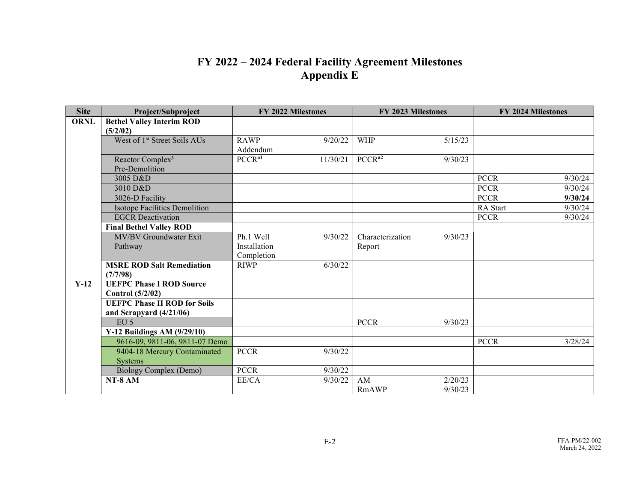## **FY 2022 – 2024 Federal Facility Agreement Milestones Appendix E**

| <b>Site</b> | Project/Subproject                       | FY 2022 Milestones             | FY 2023 Milestones            | FY 2024 Milestones     |  |
|-------------|------------------------------------------|--------------------------------|-------------------------------|------------------------|--|
| <b>ORNL</b> | <b>Bethel Valley Interim ROD</b>         |                                |                               |                        |  |
|             | (5/2/02)                                 |                                |                               |                        |  |
|             | West of 1 <sup>st</sup> Street Soils AUs | <b>RAWP</b><br>9/20/22         | <b>WHP</b><br>5/15/23         |                        |  |
|             |                                          | Addendum                       |                               |                        |  |
|             | Reactor Complex <sup>3</sup>             | PCCR <sup>a1</sup><br>11/30/21 | PCCR <sup>a2</sup><br>9/30/23 |                        |  |
|             | Pre-Demolition                           |                                |                               |                        |  |
|             | 3005 D&D                                 |                                |                               | <b>PCCR</b><br>9/30/24 |  |
|             | 3010 D&D                                 |                                |                               | <b>PCCR</b><br>9/30/24 |  |
|             | 3026-D Facility                          |                                |                               | <b>PCCR</b><br>9/30/24 |  |
|             | <b>Isotope Facilities Demolition</b>     |                                |                               | 9/30/24<br>RA Start    |  |
|             | <b>EGCR</b> Deactivation                 |                                |                               | <b>PCCR</b><br>9/30/24 |  |
|             | <b>Final Bethel Valley ROD</b>           |                                |                               |                        |  |
|             | MV/BV Groundwater Exit                   | Ph.1 Well<br>9/30/22           | Characterization<br>9/30/23   |                        |  |
|             | Pathway                                  | Installation                   | Report                        |                        |  |
|             |                                          | Completion                     |                               |                        |  |
|             | <b>MSRE ROD Salt Remediation</b>         | 6/30/22<br><b>RIWP</b>         |                               |                        |  |
|             | (7/7/98)                                 |                                |                               |                        |  |
| $Y-12$      | <b>UEFPC Phase I ROD Source</b>          |                                |                               |                        |  |
|             | Control $(5/2/02)$                       |                                |                               |                        |  |
|             | <b>UEFPC Phase II ROD for Soils</b>      |                                |                               |                        |  |
|             | and Scrapyard $(4/21/06)$                |                                |                               |                        |  |
|             | $EU$ 5                                   |                                | <b>PCCR</b><br>9/30/23        |                        |  |
|             | Y-12 Buildings AM $(9/29/10)$            |                                |                               |                        |  |
|             | 9616-09, 9811-06, 9811-07 Demo           |                                |                               | <b>PCCR</b><br>3/28/24 |  |
|             | 9404-18 Mercury Contaminated             | <b>PCCR</b><br>9/30/22         |                               |                        |  |
|             | <b>Systems</b>                           |                                |                               |                        |  |
|             | Biology Complex (Demo)                   | <b>PCCR</b><br>9/30/22         |                               |                        |  |
|             | NT-8 AM                                  | $\rm EE/CA$<br>9/30/22         | 2/20/23<br>AM                 |                        |  |
|             |                                          |                                | 9/30/23<br>RmAWP              |                        |  |